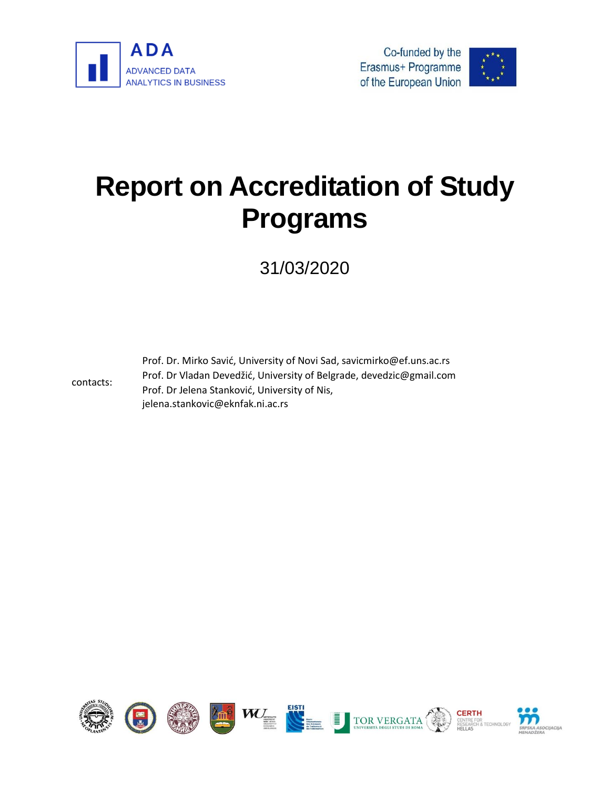





# **Report on Accreditation of Study Programs**

31/03/2020

contacts:

Prof. Dr. Mirko Savić, University of Novi Sad, savicmirko@ef.uns.ac.rs Prof. Dr Vladan Devedžić, University of Belgrade, devedzic@gmail.com Prof. Dr Jelena Stanković, University of Nis, jelena.stankovic@eknfak.ni.ac.rs

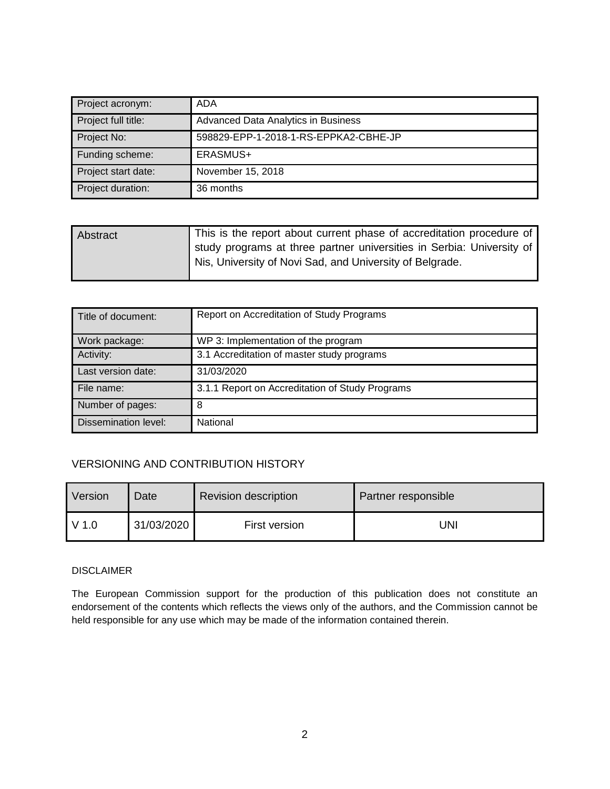| Project acronym:    | ADA                                   |
|---------------------|---------------------------------------|
| Project full title: | Advanced Data Analytics in Business   |
| Project No:         | 598829-EPP-1-2018-1-RS-EPPKA2-CBHE-JP |
| Funding scheme:     | ERASMUS+                              |
| Project start date: | November 15, 2018                     |
| Project duration:   | 36 months                             |

| Abstract | This is the report about current phase of accreditation procedure of  |
|----------|-----------------------------------------------------------------------|
|          | study programs at three partner universities in Serbia: University of |
|          | Nis, University of Novi Sad, and University of Belgrade.              |
|          |                                                                       |

| Title of document:   | Report on Accreditation of Study Programs       |
|----------------------|-------------------------------------------------|
| Work package:        | WP 3: Implementation of the program             |
| Activity:            | 3.1 Accreditation of master study programs      |
| Last version date:   | 31/03/2020                                      |
| File name:           | 3.1.1 Report on Accreditation of Study Programs |
| Number of pages:     | 8                                               |
| Dissemination level: | National                                        |

#### VERSIONING AND CONTRIBUTION HISTORY

| Version | Date       | <b>Revision description</b> | Partner responsible |
|---------|------------|-----------------------------|---------------------|
| $V$ 1.0 | 31/03/2020 | First version               | JNI                 |

#### DISCLAIMER

The European Commission support for the production of this publication does not constitute an endorsement of the contents which reflects the views only of the authors, and the Commission cannot be held responsible for any use which may be made of the information contained therein.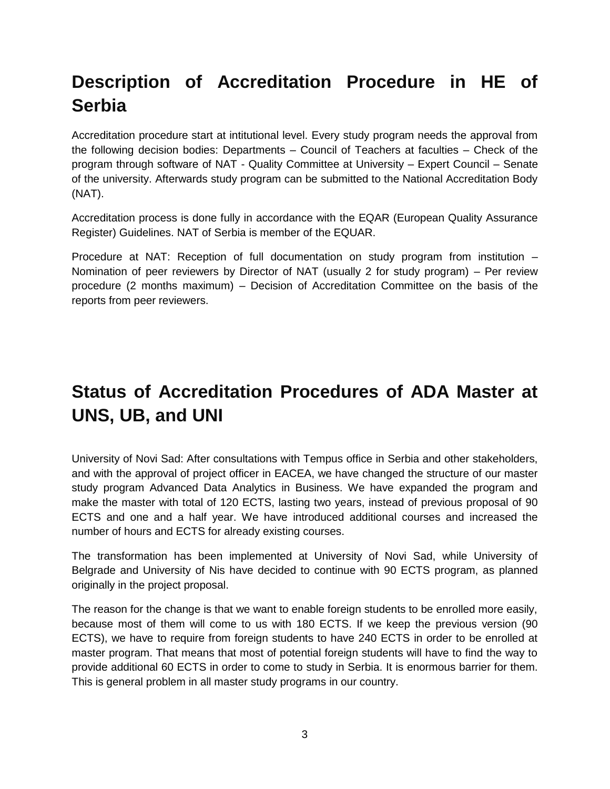## **Description of Accreditation Procedure in HE of Serbia**

Accreditation procedure start at intitutional level. Every study program needs the approval from the following decision bodies: Departments – Council of Teachers at faculties – Check of the program through software of NAT - Quality Committee at University – Expert Council – Senate of the university. Afterwards study program can be submitted to the National Accreditation Body (NAT).

Accreditation process is done fully in accordance with the EQAR (European Quality Assurance Register) Guidelines. NAT of Serbia is member of the EQUAR.

Procedure at NAT: Reception of full documentation on study program from institution – Nomination of peer reviewers by Director of NAT (usually 2 for study program) – Per review procedure (2 months maximum) – Decision of Accreditation Committee on the basis of the reports from peer reviewers.

### **Status of Accreditation Procedures of ADA Master at UNS, UB, and UNI**

University of Novi Sad: After consultations with Tempus office in Serbia and other stakeholders, and with the approval of project officer in EACEA, we have changed the structure of our master study program Advanced Data Analytics in Business. We have expanded the program and make the master with total of 120 ECTS, lasting two years, instead of previous proposal of 90 ECTS and one and a half year. We have introduced additional courses and increased the number of hours and ECTS for already existing courses.

The transformation has been implemented at University of Novi Sad, while University of Belgrade and University of Nis have decided to continue with 90 ECTS program, as planned originally in the project proposal.

The reason for the change is that we want to enable foreign students to be enrolled more easily, because most of them will come to us with 180 ECTS. If we keep the previous version (90 ECTS), we have to require from foreign students to have 240 ECTS in order to be enrolled at master program. That means that most of potential foreign students will have to find the way to provide additional 60 ECTS in order to come to study in Serbia. It is enormous barrier for them. This is general problem in all master study programs in our country.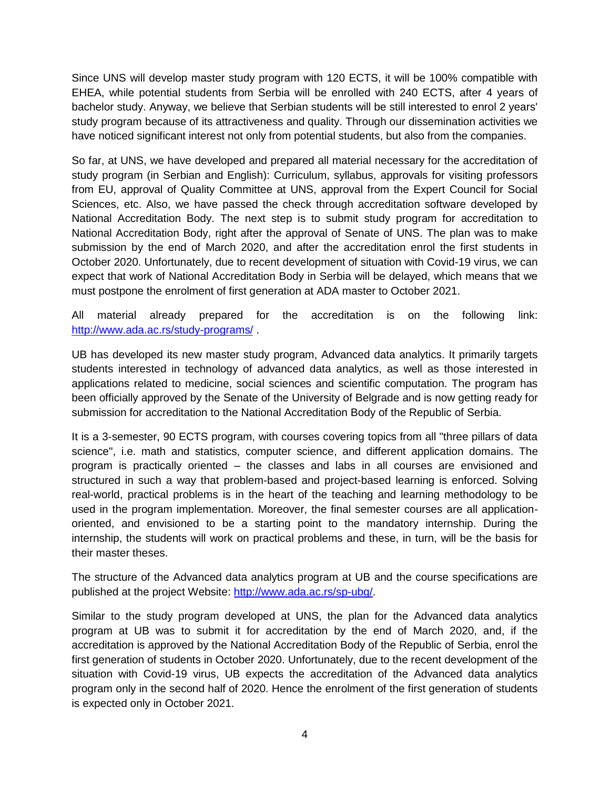Since UNS will develop master study program with 120 ECTS, it will be 100% compatible with EHEA, while potential students from Serbia will be enrolled with 240 ECTS, after 4 years of bachelor study. Anyway, we believe that Serbian students will be still interested to enrol 2 years' study program because of its attractiveness and quality. Through our dissemination activities we have noticed significant interest not only from potential students, but also from the companies.

So far, at UNS, we have developed and prepared all material necessary for the accreditation of study program (in Serbian and English): Curriculum, syllabus, approvals for visiting professors from EU, approval of Quality Committee at UNS, approval from the Expert Council for Social Sciences, etc. Also, we have passed the check through accreditation software developed by National Accreditation Body. The next step is to submit study program for accreditation to National Accreditation Body, right after the approval of Senate of UNS. The plan was to make submission by the end of March 2020, and after the accreditation enrol the first students in October 2020. Unfortunately, due to recent development of situation with Covid-19 virus, we can expect that work of National Accreditation Body in Serbia will be delayed, which means that we must postpone the enrolment of first generation at ADA master to October 2021.

All material already prepared for the accreditation is on the following link: <http://www.ada.ac.rs/study-programs/> .

UB has developed its new master study program, Advanced data analytics. It primarily targets students interested in technology of advanced data analytics, as well as those interested in applications related to medicine, social sciences and scientific computation. The program has been officially approved by the Senate of the University of Belgrade and is now getting ready for submission for accreditation to the National Accreditation Body of the Republic of Serbia.

It is a 3-semester, 90 ECTS program, with courses covering topics from all "three pillars of data science", i.e. math and statistics, computer science, and different application domains. The program is practically oriented – the classes and labs in all courses are envisioned and structured in such a way that problem-based and project-based learning is enforced. Solving real-world, practical problems is in the heart of the teaching and learning methodology to be used in the program implementation. Moreover, the final semester courses are all applicationoriented, and envisioned to be a starting point to the mandatory internship. During the internship, the students will work on practical problems and these, in turn, will be the basis for their master theses.

The structure of the Advanced data analytics program at UB and the course specifications are published at the project Website: [http://www.ada.ac.rs/sp-ubg/.](http://www.ada.ac.rs/sp-ubg/)

Similar to the study program developed at UNS, the plan for the Advanced data analytics program at UB was to submit it for accreditation by the end of March 2020, and, if the accreditation is approved by the National Accreditation Body of the Republic of Serbia, enrol the first generation of students in October 2020. Unfortunately, due to the recent development of the situation with Covid-19 virus, UB expects the accreditation of the Advanced data analytics program only in the second half of 2020. Hence the enrolment of the first generation of students is expected only in October 2021.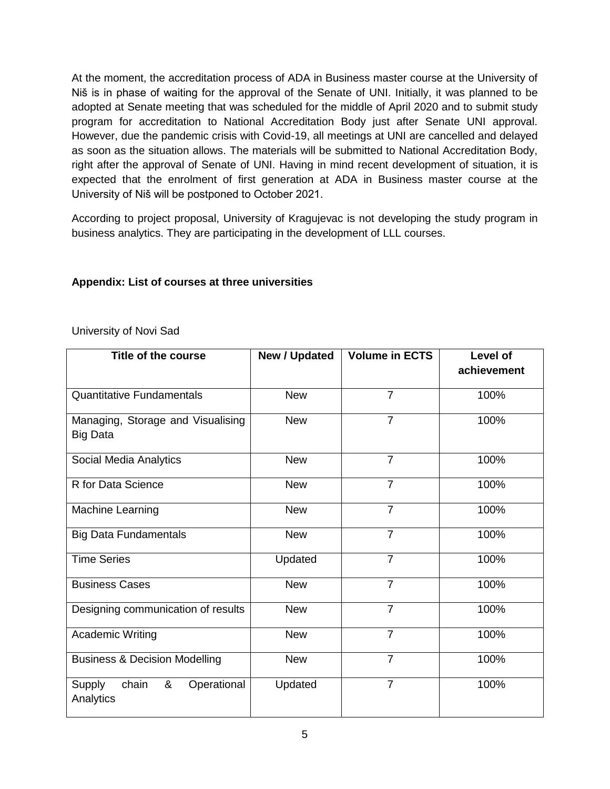At the moment, the accreditation process of ADA in Business master course at the University of Niš is in phase of waiting for the approval of the Senate of UNI. Initially, it was planned to be adopted at Senate meeting that was scheduled for the middle of April 2020 and to submit study program for accreditation to National Accreditation Body just after Senate UNI approval. However, due the pandemic crisis with Covid-19, all meetings at UNI are cancelled and delayed as soon as the situation allows. The materials will be submitted to National Accreditation Body, right after the approval of Senate of UNI. Having in mind recent development of situation, it is expected that the enrolment of first generation at ADA in Business master course at the University of Niš will be postponed to October 2021.

According to project proposal, University of Kragujevac is not developing the study program in business analytics. They are participating in the development of LLL courses.

### **Appendix: List of courses at three universities**

University of Novi Sad

| Title of the course                              | New / Updated | <b>Volume in ECTS</b> | Level of<br>achievement |
|--------------------------------------------------|---------------|-----------------------|-------------------------|
|                                                  |               |                       |                         |
| <b>Quantitative Fundamentals</b>                 | <b>New</b>    | $\overline{7}$        | 100%                    |
| Managing, Storage and Visualising<br>Big Data    | <b>New</b>    | $\overline{7}$        | 100%                    |
| Social Media Analytics                           | <b>New</b>    | $\overline{7}$        | 100%                    |
| R for Data Science                               | <b>New</b>    | $\overline{7}$        | 100%                    |
| <b>Machine Learning</b>                          | <b>New</b>    | $\overline{7}$        | 100%                    |
| <b>Big Data Fundamentals</b>                     | <b>New</b>    | $\overline{7}$        | 100%                    |
| <b>Time Series</b>                               | Updated       | $\overline{7}$        | 100%                    |
| <b>Business Cases</b>                            | <b>New</b>    | $\overline{7}$        | 100%                    |
| Designing communication of results               | <b>New</b>    | $\overline{7}$        | 100%                    |
| <b>Academic Writing</b>                          | <b>New</b>    | $\overline{7}$        | 100%                    |
| <b>Business &amp; Decision Modelling</b>         | <b>New</b>    | $\overline{7}$        | 100%                    |
| Operational<br>chain<br>&<br>Supply<br>Analytics | Updated       | $\overline{7}$        | 100%                    |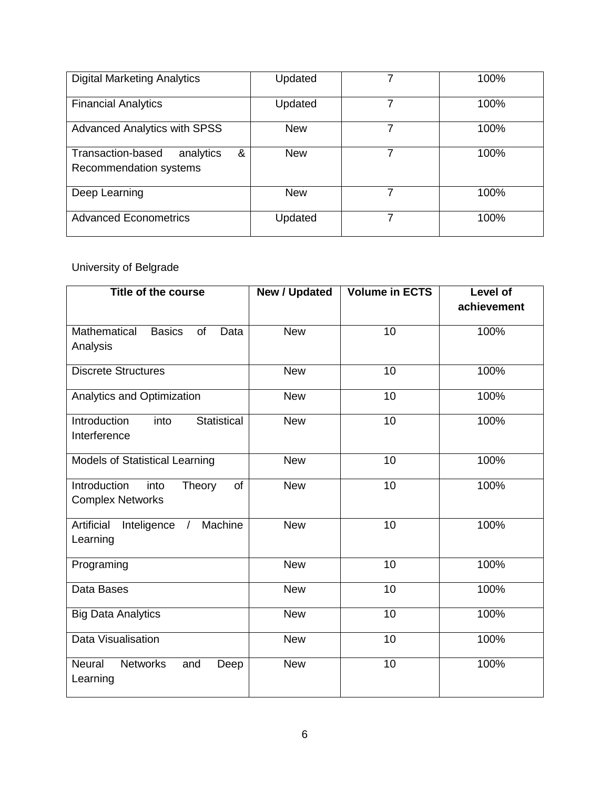| <b>Digital Marketing Analytics</b>                            | Updated    |   | 100% |
|---------------------------------------------------------------|------------|---|------|
| <b>Financial Analytics</b>                                    | Updated    | 7 | 100% |
| <b>Advanced Analytics with SPSS</b>                           | <b>New</b> |   | 100% |
| &<br>Transaction-based<br>analytics<br>Recommendation systems | <b>New</b> | 7 | 100% |
| Deep Learning                                                 | <b>New</b> | 7 | 100% |
| <b>Advanced Econometrics</b>                                  | Updated    | 7 | 100% |

### University of Belgrade

| <b>Title of the course</b>                                      | <b>New / Updated</b> | <b>Volume in ECTS</b> | Level of<br>achievement |
|-----------------------------------------------------------------|----------------------|-----------------------|-------------------------|
| Mathematical<br><b>Basics</b><br>of<br>Data<br>Analysis         | <b>New</b>           | 10                    | 100%                    |
| <b>Discrete Structures</b>                                      | <b>New</b>           | 10                    | 100%                    |
| Analytics and Optimization                                      | <b>New</b>           | 10                    | 100%                    |
| Introduction<br><b>Statistical</b><br>into<br>Interference      | <b>New</b>           | 10                    | 100%                    |
| Models of Statistical Learning                                  | <b>New</b>           | 10                    | 100%                    |
| Introduction<br>into<br>of<br>Theory<br><b>Complex Networks</b> | <b>New</b>           | 10                    | 100%                    |
| Artificial<br>Machine<br>Inteligence<br>$\prime$<br>Learning    | <b>New</b>           | 10                    | 100%                    |
| Programing                                                      | <b>New</b>           | 10                    | 100%                    |
| Data Bases                                                      | <b>New</b>           | 10                    | 100%                    |
| <b>Big Data Analytics</b>                                       | <b>New</b>           | 10                    | 100%                    |
| Data Visualisation                                              | <b>New</b>           | 10                    | 100%                    |
| <b>Networks</b><br>Neural<br>Deep<br>and<br>Learning            | <b>New</b>           | 10                    | 100%                    |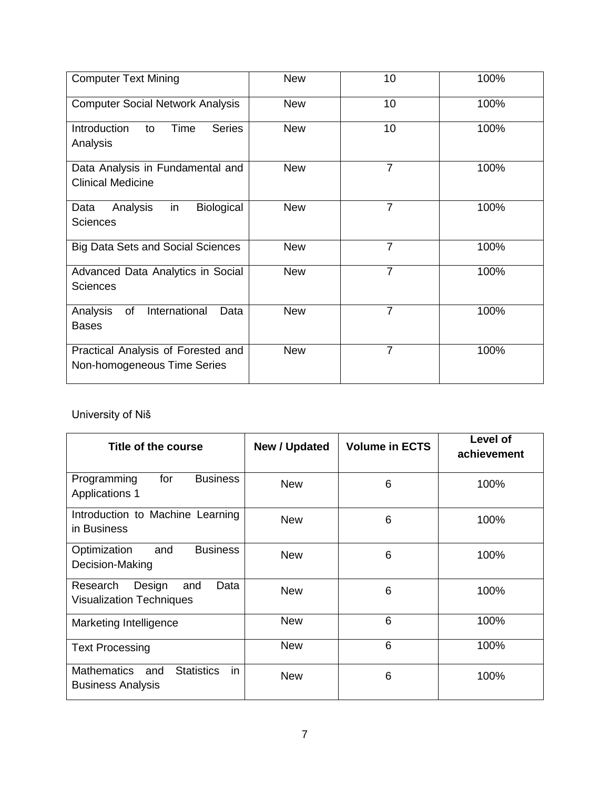| <b>Computer Text Mining</b>                                       | <b>New</b> | 10             | 100% |
|-------------------------------------------------------------------|------------|----------------|------|
| <b>Computer Social Network Analysis</b>                           | New        | 10             | 100% |
| Introduction<br><b>Series</b><br>Time<br>to<br>Analysis           | <b>New</b> | 10             | 100% |
| Data Analysis in Fundamental and<br><b>Clinical Medicine</b>      | <b>New</b> | $\overline{7}$ | 100% |
| <b>Biological</b><br>Data<br>Analysis<br>in<br><b>Sciences</b>    | <b>New</b> | $\overline{7}$ | 100% |
| <b>Big Data Sets and Social Sciences</b>                          | <b>New</b> | $\overline{7}$ | 100% |
| Advanced Data Analytics in Social<br><b>Sciences</b>              | <b>New</b> | $\overline{7}$ | 100% |
| International<br>Analysis<br>of<br>Data<br><b>Bases</b>           | <b>New</b> | $\overline{7}$ | 100% |
| Practical Analysis of Forested and<br>Non-homogeneous Time Series | New        | $\overline{7}$ | 100% |

University of Niš

| Title of the course                                                              | New / Updated | <b>Volume in ECTS</b> | Level of<br>achievement |
|----------------------------------------------------------------------------------|---------------|-----------------------|-------------------------|
| for<br><b>Business</b><br>Programming<br><b>Applications 1</b>                   | <b>New</b>    | 6                     | 100%                    |
| Introduction to Machine Learning<br>in Business                                  | <b>New</b>    | 6                     | 100%                    |
| <b>Business</b><br>Optimization<br>and<br>Decision-Making                        | <b>New</b>    | 6                     | 100%                    |
| Data<br>Research<br>Design<br>and<br><b>Visualization Techniques</b>             | <b>New</b>    | 6                     | 100%                    |
| Marketing Intelligence                                                           | <b>New</b>    | 6                     | 100%                    |
| <b>Text Processing</b>                                                           | <b>New</b>    | 6                     | 100%                    |
| <b>Mathematics</b><br><b>Statistics</b><br>in<br>and<br><b>Business Analysis</b> | <b>New</b>    | 6                     | 100%                    |